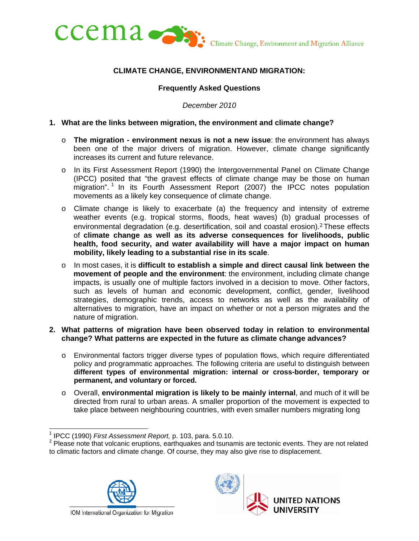

## **CLIMATE CHANGE, ENVIRONMENTAND MIGRATION:**

#### **Frequently Asked Questions**

*December 2010* 

#### **1. What are the links between migration, the environment and climate change?**

- o **The migration environment nexus is not a new issue**: the environment has always been one of the major drivers of migration. However, climate change significantly increases its current and future relevance.
- o In its First Assessment Report (1990) the Intergovernmental Panel on Climate Change (IPCC) posited that "the gravest effects of climate change may be those on human migration".<sup>1</sup> In its Fourth Assessment Report (2007) the IPCC notes population movements as a likely key consequence of climate change.
- o Climate change is likely to exacerbate (a) the frequency and intensity of extreme weather events (e.g. tropical storms, floods, heat waves) (b) gradual processes of environmental degradation (e.g. desertification, soil and coastal erosion).<sup>2</sup> These effects of **climate change as well as its adverse consequences for livelihoods, public health, food security, and water availability will have a major impact on human mobility, likely leading to a substantial rise in its scale**.
- o In most cases, it is **difficult to establish a simple and direct causal link between the movement of people and the environment**: the environment, including climate change impacts, is usually one of multiple factors involved in a decision to move. Other factors, such as levels of human and economic development, conflict, gender, livelihood strategies, demographic trends, access to networks as well as the availability of alternatives to migration, have an impact on whether or not a person migrates and the nature of migration.

#### **2. What patterns of migration have been observed today in relation to environmental change? What patterns are expected in the future as climate change advances?**

- o Environmental factors trigger diverse types of population flows, which require differentiated policy and programmatic approaches. The following criteria are useful to distinguish between **different types of environmental migration: internal or cross-border, temporary or permanent, and voluntary or forced.**
- o Overall, **environmental migration is likely to be mainly internal**, and much of it will be directed from rural to urban areas. A smaller proportion of the movement is expected to take place between neighbouring countries, with even smaller numbers migrating long

 $2$  Please note that volcanic eruptions, earthquakes and tsunamis are tectonic events. They are not related to climatic factors and climate change. Of course, they may also give rise to displacement.





<sup>&</sup>lt;u>-</u><br><sup>1</sup> IPCC (1990) *First Assessment Report,* p. 103, para. 5.0.10.<br><sup>2</sup> Please note that velopie gruptions, corthoughes and tauna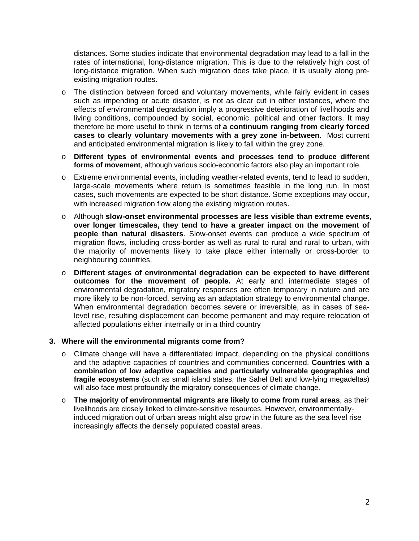distances. Some studies indicate that environmental degradation may lead to a fall in the rates of international, long-distance migration. This is due to the relatively high cost of long-distance migration. When such migration does take place, it is usually along preexisting migration routes.

- o The distinction between forced and voluntary movements, while fairly evident in cases such as impending or acute disaster, is not as clear cut in other instances, where the effects of environmental degradation imply a progressive deterioration of livelihoods and living conditions, compounded by social, economic, political and other factors. It may therefore be more useful to think in terms of **a continuum ranging from clearly forced cases to clearly voluntary movements with a grey zone in-between**. Most current and anticipated environmental migration is likely to fall within the grey zone.
- o **Different types of environmental events and processes tend to produce different forms of movement**, although various socio-economic factors also play an important role.
- o Extreme environmental events, including weather-related events, tend to lead to sudden, large-scale movements where return is sometimes feasible in the long run. In most cases, such movements are expected to be short distance. Some exceptions may occur, with increased migration flow along the existing migration routes.
- o Although **slow-onset environmental processes are less visible than extreme events, over longer timescales, they tend to have a greater impact on the movement of people than natural disasters**. Slow-onset events can produce a wide spectrum of migration flows, including cross-border as well as rural to rural and rural to urban, with the majority of movements likely to take place either internally or cross-border to neighbouring countries.
- o **Different stages of environmental degradation can be expected to have different outcomes for the movement of people.** At early and intermediate stages of environmental degradation, migratory responses are often temporary in nature and are more likely to be non-forced, serving as an adaptation strategy to environmental change. When environmental degradation becomes severe or irreversible, as in cases of sealevel rise, resulting displacement can become permanent and may require relocation of affected populations either internally or in a third country

#### **3. Where will the environmental migrants come from?**

- $\circ$  Climate change will have a differentiated impact, depending on the physical conditions and the adaptive capacities of countries and communities concerned. **Countries with a combination of low adaptive capacities and particularly vulnerable geographies and fragile ecosystems** (such as small island states, the Sahel Belt and low-lying megadeltas) will also face most profoundly the migratory consequences of climate change.
- o **The majority of environmental migrants are likely to come from rural areas**, as their livelihoods are closely linked to climate-sensitive resources. However, environmentallyinduced migration out of urban areas might also grow in the future as the sea level rise increasingly affects the densely populated coastal areas.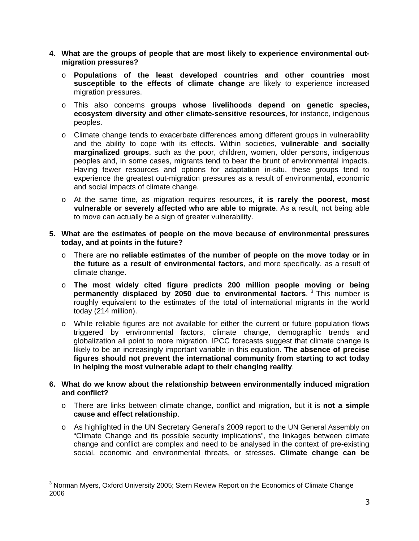- **4. What are the groups of people that are most likely to experience environmental outmigration pressures?** 
	- o **Populations of the least developed countries and other countries most susceptible to the effects of climate change** are likely to experience increased migration pressures.
	- o This also concerns **groups whose livelihoods depend on genetic species, ecosystem diversity and other climate-sensitive resources**, for instance, indigenous peoples.
	- o Climate change tends to exacerbate differences among different groups in vulnerability and the ability to cope with its effects. Within societies, **vulnerable and socially marginalized groups**, such as the poor, children, women, older persons, indigenous peoples and, in some cases, migrants tend to bear the brunt of environmental impacts. Having fewer resources and options for adaptation in-situ, these groups tend to experience the greatest out-migration pressures as a result of environmental, economic and social impacts of climate change.
	- o At the same time, as migration requires resources, **it is rarely the poorest, most vulnerable or severely affected who are able to migrate**. As a result, not being able to move can actually be a sign of greater vulnerability.
- **5. What are the estimates of people on the move because of environmental pressures today, and at points in the future?** 
	- o There are **no reliable estimates of the number of people on the move today or in the future as a result of environmental factors**, and more specifically, as a result of climate change.
	- o **The most widely cited figure predicts 200 million people moving or being permanently displaced by 2050 due to environmental factors**. <sup>3</sup> This number is roughly equivalent to the estimates of the total of international migrants in the world today (214 million).
	- o While reliable figures are not available for either the current or future population flows triggered by environmental factors, climate change, demographic trends and globalization all point to more migration. IPCC forecasts suggest that climate change is likely to be an increasingly important variable in this equation. **The absence of precise figures should not prevent the international community from starting to act today in helping the most vulnerable adapt to their changing reality**.
- **6. What do we know about the relationship between environmentally induced migration and conflict?** 
	- o There are links between climate change, conflict and migration, but it is **not a simple cause and effect relationship**.
	- o As highlighted in the UN Secretary General's 2009 report to the UN General Assembly on "Climate Change and its possible security implications", the linkages between climate change and conflict are complex and need to be analysed in the context of pre-existing social, economic and environmental threats, or stresses. **Climate change can be**

  $3$  Norman Myers, Oxford University 2005; Stern Review Report on the Economics of Climate Change 2006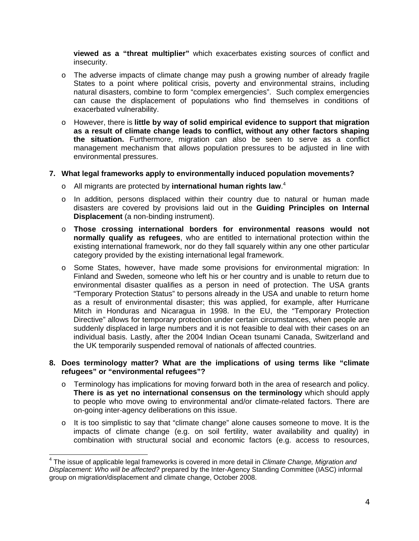**viewed as a "threat multiplier"** which exacerbates existing sources of conflict and insecurity.

- o The adverse impacts of climate change may push a growing number of already fragile States to a point where political crisis, poverty and environmental strains, including natural disasters, combine to form "complex emergencies". Such complex emergencies can cause the displacement of populations who find themselves in conditions of exacerbated vulnerability.
- o However, there is **little by way of solid empirical evidence to support that migration as a result of climate change leads to conflict, without any other factors shaping the situation.** Furthermore, migration can also be seen to serve as a conflict management mechanism that allows population pressures to be adjusted in line with environmental pressures.

## **7. What legal frameworks apply to environmentally induced population movements?**

- o All migrants are protected by **international human rights law**. 4
- o In addition, persons displaced within their country due to natural or human made disasters are covered by provisions laid out in the **Guiding Principles on Internal Displacement** (a non-binding instrument).
- o **Those crossing international borders for environmental reasons would not normally qualify as refugees**, who are entitled to international protection within the existing international framework, nor do they fall squarely within any one other particular category provided by the existing international legal framework.
- o Some States, however, have made some provisions for environmental migration: In Finland and Sweden, someone who left his or her country and is unable to return due to environmental disaster qualifies as a person in need of protection. The USA grants "Temporary Protection Status" to persons already in the USA and unable to return home as a result of environmental disaster; this was applied, for example, after Hurricane Mitch in Honduras and Nicaragua in 1998. In the EU, the "Temporary Protection Directive" allows for temporary protection under certain circumstances, when people are suddenly displaced in large numbers and it is not feasible to deal with their cases on an individual basis. Lastly, after the 2004 Indian Ocean tsunami Canada, Switzerland and the UK temporarily suspended removal of nationals of affected countries.

## **8. Does terminology matter? What are the implications of using terms like "climate refugees" or "environmental refugees"?**

- $\circ$  Terminology has implications for moving forward both in the area of research and policy. **There is as yet no international consensus on the terminology** which should apply to people who move owing to environmental and/or climate-related factors. There are on-going inter-agency deliberations on this issue.
- o It is too simplistic to say that "climate change" alone causes someone to move. It is the impacts of climate change (e.g. on soil fertility, water availability and quality) in combination with structural social and economic factors (e.g. access to resources,

<sup>4</sup> The issue of applicable legal frameworks is covered in more detail in *Climate Change, Migration and Displacement: Who will be affected?* prepared by the Inter-Agency Standing Committee (IASC) informal group on migration/displacement and climate change, October 2008.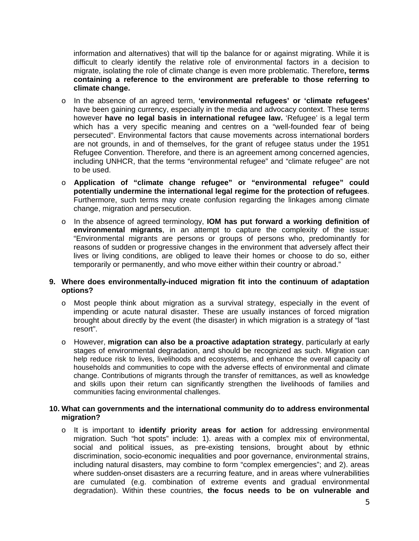information and alternatives) that will tip the balance for or against migrating. While it is difficult to clearly identify the relative role of environmental factors in a decision to migrate, isolating the role of climate change is even more problematic. Therefore**, terms containing a reference to the environment are preferable to those referring to climate change.** 

- o In the absence of an agreed term, **'environmental refugees' or 'climate refugees'** have been gaining currency, especially in the media and advocacy context. These terms however **have no legal basis in international refugee law.** 'Refugee' is a legal term which has a very specific meaning and centres on a "well-founded fear of being persecuted". Environmental factors that cause movements across international borders are not grounds, in and of themselves, for the grant of refugee status under the 1951 Refugee Convention. Therefore, and there is an agreement among concerned agencies, including UNHCR, that the terms "environmental refugee" and "climate refugee" are not to be used.
- o **Application of "climate change refugee" or "environmental refugee" could potentially undermine the international legal regime for the protection of refugees**. Furthermore, such terms may create confusion regarding the linkages among climate change, migration and persecution.
- o In the absence of agreed terminology, **IOM has put forward a working definition of environmental migrants**, in an attempt to capture the complexity of the issue: "Environmental migrants are persons or groups of persons who, predominantly for reasons of sudden or progressive changes in the environment that adversely affect their lives or living conditions, are obliged to leave their homes or choose to do so, either temporarily or permanently, and who move either within their country or abroad."

## **9. Where does environmentally-induced migration fit into the continuum of adaptation options?**

- o Most people think about migration as a survival strategy, especially in the event of impending or acute natural disaster. These are usually instances of forced migration brought about directly by the event (the disaster) in which migration is a strategy of "last resort".
- o However, **migration can also be a proactive adaptation strategy**, particularly at early stages of environmental degradation, and should be recognized as such. Migration can help reduce risk to lives, livelihoods and ecosystems, and enhance the overall capacity of households and communities to cope with the adverse effects of environmental and climate change. Contributions of migrants through the transfer of remittances, as well as knowledge and skills upon their return can significantly strengthen the livelihoods of families and communities facing environmental challenges.

## **10. What can governments and the international community do to address environmental migration?**

o It is important to **identify priority areas for action** for addressing environmental migration. Such "hot spots" include: 1). areas with a complex mix of environmental, social and political issues, as pre-existing tensions, brought about by ethnic discrimination, socio-economic inequalities and poor governance, environmental strains, including natural disasters, may combine to form "complex emergencies"; and 2). areas where sudden-onset disasters are a recurring feature, and in areas where vulnerabilities are cumulated (e.g. combination of extreme events and gradual environmental degradation). Within these countries, **the focus needs to be on vulnerable and**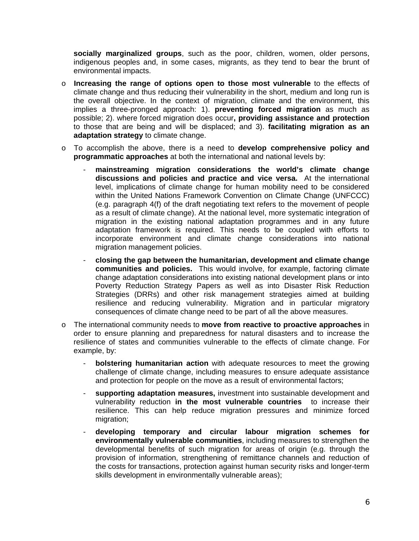**socially marginalized groups**, such as the poor, children, women, older persons, indigenous peoples and, in some cases, migrants, as they tend to bear the brunt of environmental impacts.

- o **Increasing the range of options open to those most vulnerable** to the effects of climate change and thus reducing their vulnerability in the short, medium and long run is the overall objective. In the context of migration, climate and the environment, this implies a three-pronged approach: 1). **preventing forced migration** as much as possible; 2). where forced migration does occur**, providing assistance and protection**  to those that are being and will be displaced; and 3). **facilitating migration as an adaptation strategy** to climate change.
- o To accomplish the above, there is a need to **develop comprehensive policy and programmatic approaches** at both the international and national levels by:
	- mainstreaming migration considerations the world's climate change **discussions and policies and practice and vice versa.** At the international level, implications of climate change for human mobility need to be considered within the United Nations Framework Convention on Climate Change (UNFCCC) (e.g. paragraph 4(f) of the draft negotiating text refers to the movement of people as a result of climate change). At the national level, more systematic integration of migration in the existing national adaptation programmes and in any future adaptation framework is required. This needs to be coupled with efforts to incorporate environment and climate change considerations into national migration management policies.
	- **closing the gap between the humanitarian, development and climate change communities and policies.** This would involve, for example, factoring climate change adaptation considerations into existing national development plans or into Poverty Reduction Strategy Papers as well as into Disaster Risk Reduction Strategies (DRRs) and other risk management strategies aimed at building resilience and reducing vulnerability. Migration and in particular migratory consequences of climate change need to be part of all the above measures.
- o The international community needs to **move from reactive to proactive approaches** in order to ensure planning and preparedness for natural disasters and to increase the resilience of states and communities vulnerable to the effects of climate change. For example, by:
	- **bolstering humanitarian action** with adequate resources to meet the growing challenge of climate change, including measures to ensure adequate assistance and protection for people on the move as a result of environmental factors;
	- **supporting adaptation measures,** investment into sustainable development and vulnerability reduction **in the most vulnerable countries** to increase their resilience. This can help reduce migration pressures and minimize forced migration;
	- **developing temporary and circular labour migration schemes for environmentally vulnerable communities**, including measures to strengthen the developmental benefits of such migration for areas of origin (e.g. through the provision of information, strengthening of remittance channels and reduction of the costs for transactions, protection against human security risks and longer-term skills development in environmentally vulnerable areas);